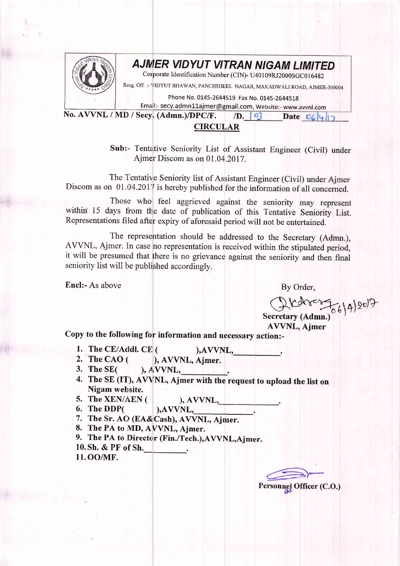

## **AJMER VIDYUT VITRAN NIGAM LIMITED**

Corporate Identification Number (CIN)- U40109RJ2000SGC016482

Resg, Off. :- VIDYUT BHAWAN, PANCHSHEEL NAGAR, MAKADWALI ROAD, AJMER-305004

Phone No. 0145-2644519 Fax No. 0145-2644518

Email:- secy.admn11ajmer@gmail.com, Website:- www.avvnl.com

No. AWNL / MD/ Secy. (Admn.)/DPC/F.  $/D.$   $\boxed{9}$ Date  $O(|y|)$ 

## CIRCULAR

Sub:- Tentative Seniority List of Assistant Engineer (Civil) under Ajmer Discom as on 01.04.2017.

The Tentative Seniority list of Assistant Engineer (Civil) under Ajmer Discom as on  $01.04.2017$  is hereby published for the information of all concerned.

Those who feel aggrieved against the seniority may represent within 15 days from the date of publication of this Tentative Seniority List. Representations filed after expiry of aforesaid period will not be entertained.

The representation should be addressed to the Secretary (Admn.), AVVNL, Ajmer. In case no representation is received within the stipulated period, it will be presumed that there is no grievance against the seniority and then final seniority list will be published accordingly.

Encl:- As above

By Order,

 $C2K$ chr $C56142073$ Secretary (Admn.)

AVVNL, Ajmer

Copy to the following for information and necessary action:-

- 1. The CE/Addl. CE  $($  ), AVVNL,  $)$ .
- 2. The CAO ( ), AWNL, Ajmer.
- 3. The SE(  $\lambda$  AVVNL,
- 4. The SE (IT), AVVNL, Ajmer with the request to upload the list on Nigam website.
	-
- 

5. The XEN/AEN ( ), AVVNL,  $\begin{array}{c} \text{6.} \end{array}$  ( ), AVVNL,

- 7. The Sr. AO (EA&Cash), AVVNL, Ajmer.
- 8. The PA to MD, AVVNL, Ajmer.
- 9. The PA to Director (Fin./Tech.), AVVNL, Ajmer.
- 10. Sh. & PF of Sh.
- 11. OO/MF.

Personnel Officer (C.O.)